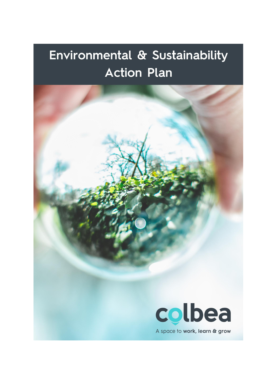# Environmental & Sustainability **Action Plan**

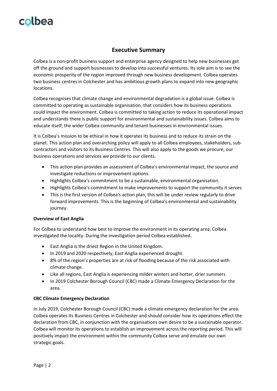### **Executive Summary**

Colbea is a non-profit business support and enterprise agency designed to help new businesses get off the ground and support businesses to develop into successful ventures. Its sole aim is to see the economic prosperity of the region improved through new business development. Colbea operates two business centres in Colchester and has ambitious growth plans to expand into new geographic locations.

Colbea recognises that climate change and environmental degradation is a global issue. Colbea is committed to operating as sustainable organisation, that considers how its business operations could impact the environment. Colbea is committed to taking action to reduce its operational impact and understands there is public support for environmental and sustainability issues. Colbea aims to educate itself, the wider Colbea community and tenant businesses in environmental issues.

It is Colbea's mission to be ethical in how it operates its business and to reduce its strain on the planet. This action plan and overarching policy will apply to all Colbea employees, stakeholders, subcontractors and visitors to its Business Centres. This will also apply to the goods we procure, our business operations and services we provide to our clients.

- This action plan provides an assessment of Colbea's environmental impact, the source and investigate reductions or improvement options.
- Highlights Colbea's commitment to be a sustainable, environmental organisation.
- Highlights Colbea's commitment to make improvements to support the community it serves
- This is the first version of Colbea's action plan, this will be under review regularly to drive forward improvements. This is the beginning of Colbea's environmental and sustainability journey.

#### **Overview of East Anglia**

For Colbea to understand how best to improve the environment in its operating area, Colbea investigated the locality. During the investigation period Colbea established.

- East Anglia is the driest Region in the United Kingdom.
- In 2019 and 2020 respectively, East Anglia experienced drought.
- 8% of the region's properties are at risk of flooding because of the risk associated with climate change.
- Like all regions, East Anglia is experiencing milder winters and hotter, drier summers
- In 2019 Colchester Borough Council (CBC) made a Climate Emergency Declaration for the area.

#### **CBC Climate Emergency Declaration**

In July 2019, Colchester Borough Council (CBC) made a climate emergency declaration for the area. Colbea operates its Business Centres in Colchester and should consider how its operations effect the declaration from CBC, in conjunction with the organisations own desire to be a sustainable operator. Colbea will monitor its operations to establish an improvement across the reporting period. This will positively impact the environment within the community Colbea serve and emulate our own strategic goals.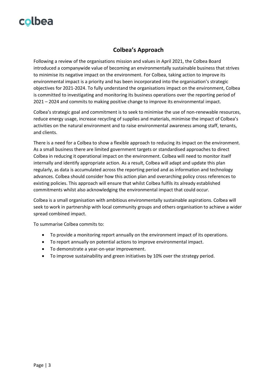### **Colbea's Approach**

Following a review of the organisations mission and values in April 2021, the Colbea Board introduced a companywide value of becoming an environmentally sustainable business that strives to minimise its negative impact on the environment. For Colbea, taking action to improve its environmental impact is a priority and has been incorporated into the organisation's strategic objectives for 2021-2024. To fully understand the organisations impact on the environment, Colbea is committed to investigating and monitoring its business operations over the reporting period of 2021 – 2024 and commits to making positive change to improve its environmental impact.

Colbea's strategic goal and commitment is to seek to minimise the use of non-renewable resources, reduce energy usage, increase recycling of supplies and materials, minimise the impact of Colbea's activities on the natural environment and to raise environmental awareness among staff, tenants, and clients.

There is a need for a Colbea to show a flexible approach to reducing its impact on the environment. As a small business there are limited government targets or standardised approaches to direct Colbea in reducing it operational impact on the environment. Colbea will need to monitor itself internally and identify appropriate action. As a result, Colbea will adapt and update this plan regularly, as data is accumulated across the reporting period and as information and technology advances. Colbea should consider how this action plan and overarching policy cross references to existing policies. This approach will ensure that whilst Colbea fulfils its already established commitments whilst also acknowledging the environmental impact that could occur.

Colbea is a small organisation with ambitious environmentally sustainable aspirations. Colbea will seek to work in partnership with local community groups and others organisation to achieve a wider spread combined impact.

To summarise Colbea commits to:

- To provide a monitoring report annually on the environment impact of its operations.
- To report annually on potential actions to improve environmental impact.
- To demonstrate a year-on-year improvement.
- To improve sustainability and green initiatives by 10% over the strategy period.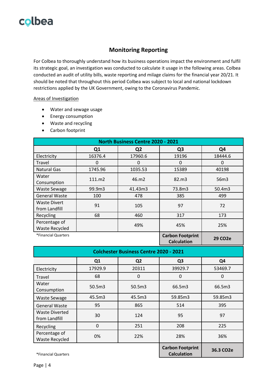### **Monitoring Reporting**

For Colbea to thoroughly understand how its business operations impact the environment and fulfil its strategic goal, an investigation was conducted to calculate it usage in the following areas. Colbea conducted an audit of utility bills, waste reporting and milage claims for the financial year 20/21. It should be noted that throughout this period Colbea was subject to local and national lockdown restrictions applied by the UK Government, owing to the Coronavirus Pandemic.

#### Areas of Investigation

- Water and sewage usage
- Energy consumption
- Waste and recycling
- Carbon footprint

| North Business Centre 2020 - 2021      |                |                |                                               |                      |  |  |
|----------------------------------------|----------------|----------------|-----------------------------------------------|----------------------|--|--|
|                                        | Q <sub>1</sub> | Q <sub>2</sub> | Q <sub>3</sub>                                | Q4                   |  |  |
| Electricity                            | 16376.4        | 17960.6        | 19196                                         | 18444.6              |  |  |
| Travel                                 | 0              | 0              | 0                                             | 0                    |  |  |
| <b>Natural Gas</b>                     | 1745.96        | 1035.53        | 15389                                         | 40198                |  |  |
| Water<br>Consumption                   | 111.m2         | 46.m2          | 82.m3                                         | 56m3                 |  |  |
| <b>Waste Sewage</b>                    | 99.9m3         | 41.43m3        | 73.8m3                                        | 50.4m3               |  |  |
| <b>General Waste</b>                   | 100            | 478            | 385                                           | 499                  |  |  |
| <b>Waste Divert</b><br>from Landfill   | 91             | 105            | 97                                            | 72                   |  |  |
| Recycling                              | 68             | 460            | 317                                           | 173                  |  |  |
| Percentage of<br><b>Waste Recycled</b> |                | 49%            | 45%                                           | 25%                  |  |  |
| *Financial Quarters                    |                |                | <b>Carbon Footprint</b><br><b>Calculation</b> | 29 CO <sub>2</sub> e |  |  |

| <b>Colchester Business Centre 2020 - 2021</b> |                |                |                                               |                        |  |
|-----------------------------------------------|----------------|----------------|-----------------------------------------------|------------------------|--|
|                                               | Q <sub>1</sub> | Q <sub>2</sub> | Q <sub>3</sub>                                | Q4                     |  |
| Electricity                                   | 17929.9        | 20311          | 39929.7                                       | 53469.7                |  |
| Travel                                        | 68             | 0              | 0                                             | 0                      |  |
| Water<br>Consumption                          | 50.5m3         | 50.5m3         | 66.5m3                                        | 66.5m3                 |  |
| <b>Waste Sewage</b>                           | 45.5m3         | 45.5m3         | 59.85m3                                       | 59.85m3                |  |
| <b>General Waste</b>                          | 95             | 865            | 514                                           | 395                    |  |
| Waste Diverted<br>from Landfill               | 30             | 124            | 95                                            | 97                     |  |
| Recycling                                     | $\Omega$       | 251            | 208                                           | 225                    |  |
| Percentage of<br><b>Waste Recycled</b>        | 0%             | 22%            | 28%                                           | 36%                    |  |
| *Financial Quarters                           |                |                | <b>Carbon Footprint</b><br><b>Calculation</b> | 36.3 CO <sub>2</sub> e |  |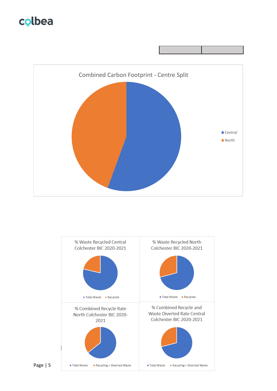



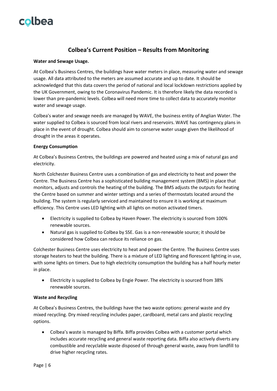### **Colbea's Current Position – Results from Monitoring**

#### **Water and Sewage Usage.**

At Colbea's Business Centres, the buildings have water meters in place, measuring water and sewage usage. All data attributed to the meters are assumed accurate and up to date. It should be acknowledged that this data covers the period of national and local lockdown restrictions applied by the UK Government, owing to the Coronavirus Pandemic. It is therefore likely the data recorded is lower than pre-pandemic levels. Colbea will need more time to collect data to accurately monitor water and sewage usage.

Colbea's water and sewage needs are managed by WAVE, the business entity of Anglian Water. The water supplied to Colbea is sourced from local rivers and reservoirs. WAVE has contingency plans in place in the event of drought. Colbea should aim to conserve water usage given the likelihood of drought in the areas it operates.

#### **Energy Consumption**

At Colbea's Business Centres, the buildings are powered and heated using a mix of natural gas and electricity.

North Colchester Business Centre uses a combination of gas and electricity to heat and power the Centre. The Business Centre has a sophisticated building management system (BMS) in place that monitors, adjusts and controls the heating of the building. The BMS adjusts the outputs for heating the Centre based on summer and winter settings and a series of thermostats located around the building. The system is regularly serviced and maintained to ensure it is working at maximum efficiency. This Centre uses LED lighting with all lights on motion activated timers.

- Electricity is supplied to Colbea by Haven Power. The electricity is sourced from 100% renewable sources.
- Natural gas is supplied to Colbea by SSE. Gas is a non-renewable source; it should be considered how Colbea can reduce its reliance on gas.

Colchester Business Centre uses electricity to heat and power the Centre. The Business Centre uses storage heaters to heat the building. There is a mixture of LED lighting and florescent lighting in use, with some lights on timers. Due to high electricity consumption the building has a half hourly meter in place.

• Electricity is supplied to Colbea by Engie Power. The electricity is sourced from 38% renewable sources.

#### **Waste and Recycling**

At Colbea's Business Centres, the buildings have the two waste options: general waste and dry mixed recycling. Dry mixed recycling includes paper, cardboard, metal cans and plastic recycling options.

• Colbea's waste is managed by Biffa. Biffa provides Colbea with a customer portal which includes accurate recycling and general waste reporting data. Biffa also actively diverts any combustible and recyclable waste disposed of through general waste, away from landfill to drive higher recycling rates.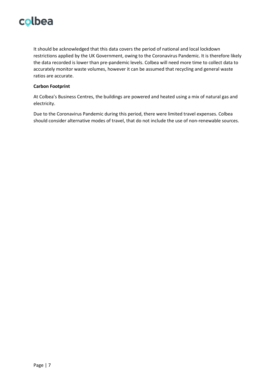It should be acknowledged that this data covers the period of national and local lockdown restrictions applied by the UK Government, owing to the Coronavirus Pandemic. It is therefore likely the data recorded is lower than pre-pandemic levels. Colbea will need more time to collect data to accurately monitor waste volumes, however it can be assumed that recycling and general waste ratios are accurate.

#### **Carbon Footprint**

At Colbea's Business Centres, the buildings are powered and heated using a mix of natural gas and electricity.

Due to the Coronavirus Pandemic during this period, there were limited travel expenses. Colbea should consider alternative modes of travel, that do not include the use of non-renewable sources.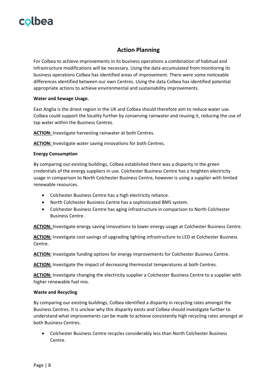### **Action Planning**

For Colbea to achieve improvements in its business operations a combination of habitual and infrastructure modifications will be necessary. Using the data accumulated from monitoring its business operations Colbea has identified areas of improvement. There were some noticeable differences identified between our own Centres. Using the data Colbea has identified potential appropriate actions to achieve environmental and sustainability improvements.

#### **Water and Sewage Usage.**

East Anglia is the driest region in the UK and Colbea should therefore aim to reduce water use. Colbea could support the locality further by conserving rainwater and reusing it, reducing the use of tap water within the Business Centres.

**ACTION:** Investigate harvesting rainwater at both Centres.

**ACTION:** Investigate water saving innovations for both Centres.

#### **Energy Consumption**

By comparing our existing buildings, Colbea established there was a disparity in the green credentials of the energy suppliers in use. Colchester Business Centre has a heighten electricity usage in comparison to North Colchester Business Centre, however is using a supplier with limited renewable resources.

- Colchester Business Centre has a high electricity reliance.
- North Colchester Business Centre has a sophisticated BMS system.
- Colchester Business Centre has aging infrastructure in comparison to North Colchester Business Centre.

**ACTION:** Investigate energy saving innovations to lower energy usage at Colchester Business Centre.

**ACTION:** Investigate cost savings of upgrading lighting infrastructure to LED at Colchester Business Centre.

**ACTION:** Investigate funding options for energy improvements for Colchester Business Centre.

**ACTION:** Investigate the impact of decreasing thermostat temperatures at both Centres.

**ACTION:** Investigate changing the electricity supplier a Colchester Business Centre to a supplier with higher renewable fuel mix.

#### **Waste and Recycling**

By comparing our existing buildings, Colbea identified a disparity in recycling rates amongst the Business Centres. It is unclear why this disparity exists and Colbea should investigate further to understand what improvements can be made to achieve consistently high recycling rates amongst at both Business Centres.

• Colchester Business Centre recycles considerably less than North Colchester Business Centre.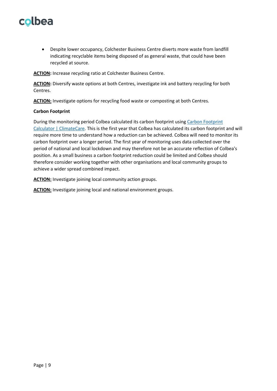• Despite lower occupancy, Colchester Business Centre diverts more waste from landfill indicating recyclable items being disposed of as general waste, that could have been recycled at source.

**ACTION:** Increase recycling ratio at Colchester Business Centre.

**ACTION:** Diversify waste options at both Centres, investigate ink and battery recycling for both Centres.

**ACTION:** Investigate options for recycling food waste or composting at both Centres.

#### **Carbon Footprint**

During the monitoring period Colbea calculated its carbon footprint using [Carbon Footprint](https://www.climatecare.org/calculator/)  [Calculator | ClimateCare.](https://www.climatecare.org/calculator/) This is the first year that Colbea has calculated its carbon footprint and will require more time to understand how a reduction can be achieved. Colbea will need to monitor its carbon footprint over a longer period. The first year of monitoring uses data collected over the period of national and local lockdown and may therefore not be an accurate reflection of Colbea's position. As a small business a carbon footprint reduction could be limited and Colbea should therefore consider working together with other organisations and local community groups to achieve a wider spread combined impact.

**ACTION:** Investigate joining local community action groups.

**ACTION:** Investigate joining local and national environment groups.